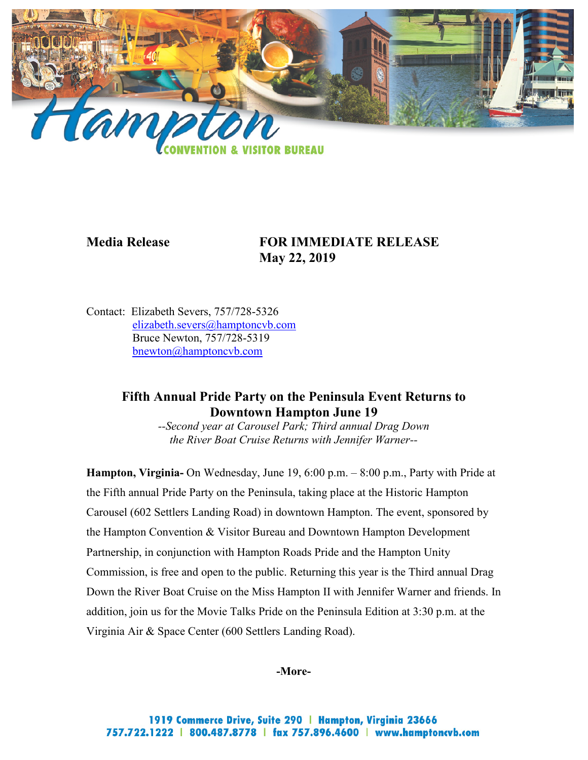

# **Media Release FOR IMMEDIATE RELEASE May 22, 2019**

Contact: Elizabeth Severs, 757/728-5326 [elizabeth.severs@hamptoncvb.com](mailto:elizabeth.severs@hamptoncvb.com) Bruce Newton, 757/728-5319 bnewton@hamptoncvb.com

## **Fifth Annual Pride Party on the Peninsula Event Returns to Downtown Hampton June 19**

*--Second year at Carousel Park; Third annual Drag Down the River Boat Cruise Returns with Jennifer Warner--*

**Hampton, Virginia-** On Wednesday, June 19, 6:00 p.m. – 8:00 p.m., Party with Pride at the Fifth annual Pride Party on the Peninsula, taking place at the Historic Hampton Carousel (602 Settlers Landing Road) in downtown Hampton. The event, sponsored by the Hampton Convention & Visitor Bureau and Downtown Hampton Development Partnership, in conjunction with Hampton Roads Pride and the Hampton Unity Commission, is free and open to the public. Returning this year is the Third annual Drag Down the River Boat Cruise on the Miss Hampton II with Jennifer Warner and friends. In addition, join us for the Movie Talks Pride on the Peninsula Edition at 3:30 p.m. at the Virginia Air & Space Center (600 Settlers Landing Road).

**-More-**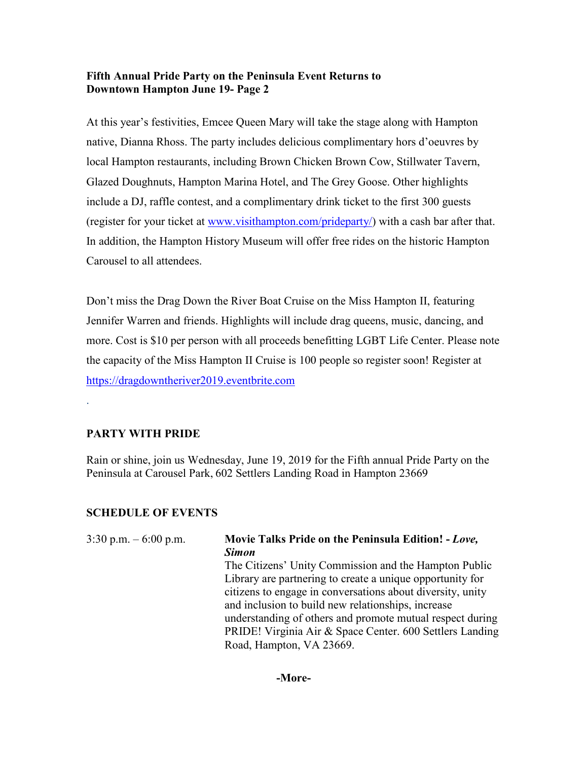#### **Fifth Annual Pride Party on the Peninsula Event Returns to Downtown Hampton June 19- Page 2**

At this year's festivities, Emcee Queen Mary will take the stage along with Hampton native, Dianna Rhoss. The party includes delicious complimentary hors d'oeuvres by local Hampton restaurants, including Brown Chicken Brown Cow, Stillwater Tavern, Glazed Doughnuts, Hampton Marina Hotel, and The Grey Goose. Other highlights include a DJ, raffle contest, and a complimentary drink ticket to the first 300 guests (register for your ticket at [www.visithampton.com/prideparty/\)](http://www.visithampton.com/prideparty/) with a cash bar after that. In addition, the Hampton History Museum will offer free rides on the historic Hampton Carousel to all attendees.

Don't miss the Drag Down the River Boat Cruise on the Miss Hampton II, featuring Jennifer Warren and friends. Highlights will include drag queens, music, dancing, and more. Cost is \$10 per person with all proceeds benefitting LGBT Life Center. Please note the capacity of the Miss Hampton II Cruise is 100 people so register soon! Register at [https://dragdowntheriver2019.eventbrite.com](https://dragdowntheriver2019.eventbrite.com/)

#### **PARTY WITH PRIDE**

.

Rain or shine, join us Wednesday, June 19, 2019 for the Fifth annual Pride Party on the Peninsula at Carousel Park, 602 Settlers Landing Road in Hampton 23669

#### **SCHEDULE OF EVENTS**

| 3:30 p.m. $-6:00$ p.m. | Movie Talks Pride on the Peninsula Edition! - Love,        |
|------------------------|------------------------------------------------------------|
|                        | <b>Simon</b>                                               |
|                        | The Citizens' Unity Commission and the Hampton Public      |
|                        | Library are partnering to create a unique opportunity for  |
|                        | citizens to engage in conversations about diversity, unity |
|                        | and inclusion to build new relationships, increase         |
|                        | understanding of others and promote mutual respect during  |
|                        | PRIDE! Virginia Air & Space Center. 600 Settlers Landing   |
|                        | Road, Hampton, VA 23669.                                   |
|                        |                                                            |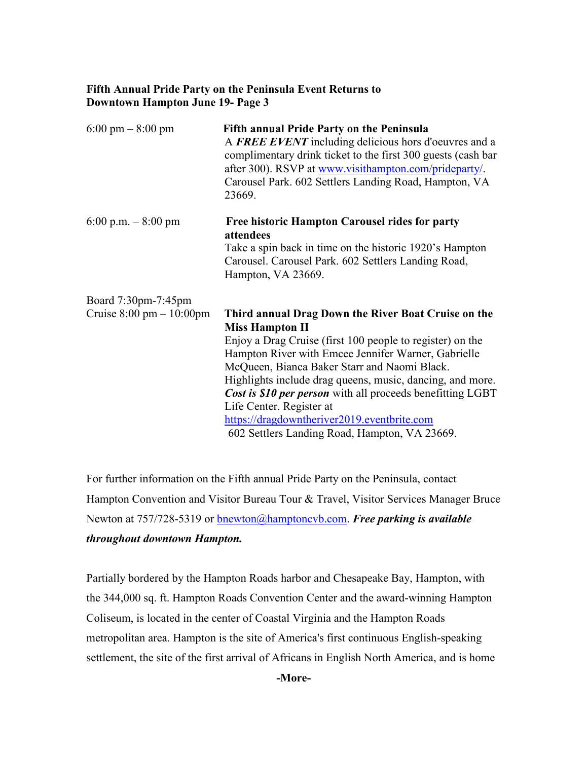#### **Fifth Annual Pride Party on the Peninsula Event Returns to Downtown Hampton June 19- Page 3**

| $6:00 \text{ pm} - 8:00 \text{ pm}$                                | <b>Fifth annual Pride Party on the Peninsula</b><br>A FREE EVENT including delicious hors d'oeuvres and a<br>complimentary drink ticket to the first 300 guests (cash bar<br>after 300). RSVP at www.visithampton.com/prideparty/.<br>Carousel Park. 602 Settlers Landing Road, Hampton, VA<br>23669.                                                                                                                                                                                                    |
|--------------------------------------------------------------------|----------------------------------------------------------------------------------------------------------------------------------------------------------------------------------------------------------------------------------------------------------------------------------------------------------------------------------------------------------------------------------------------------------------------------------------------------------------------------------------------------------|
| 6:00 p.m. $-8:00$ pm                                               | Free historic Hampton Carousel rides for party<br>attendees<br>Take a spin back in time on the historic 1920's Hampton<br>Carousel. Carousel Park. 602 Settlers Landing Road,<br>Hampton, VA 23669.                                                                                                                                                                                                                                                                                                      |
| Board 7:30pm-7:45pm<br>Cruise $8:00 \text{ pm} - 10:00 \text{ pm}$ | Third annual Drag Down the River Boat Cruise on the<br><b>Miss Hampton II</b><br>Enjoy a Drag Cruise (first 100 people to register) on the<br>Hampton River with Emcee Jennifer Warner, Gabrielle<br>McQueen, Bianca Baker Starr and Naomi Black.<br>Highlights include drag queens, music, dancing, and more.<br>Cost is \$10 per person with all proceeds benefitting LGBT<br>Life Center. Register at<br>https://dragdowntheriver2019.eventbrite.com<br>602 Settlers Landing Road, Hampton, VA 23669. |

For further information on the Fifth annual Pride Party on the Peninsula, contact Hampton Convention and Visitor Bureau Tour & Travel, Visitor Services Manager Bruce Newton at 757/728-5319 or [bnewton@hamptoncvb.com.](mailto:bnewton@hamptoncvb.com) *Free parking is available throughout downtown Hampton.*

Partially bordered by the Hampton Roads harbor and Chesapeake Bay, Hampton, with the 344,000 sq. ft. Hampton Roads Convention Center and the award-winning Hampton Coliseum, is located in the center of Coastal Virginia and the Hampton Roads metropolitan area. Hampton is the site of America's first continuous English-speaking settlement, the site of the first arrival of Africans in English North America, and is home

**-More-**